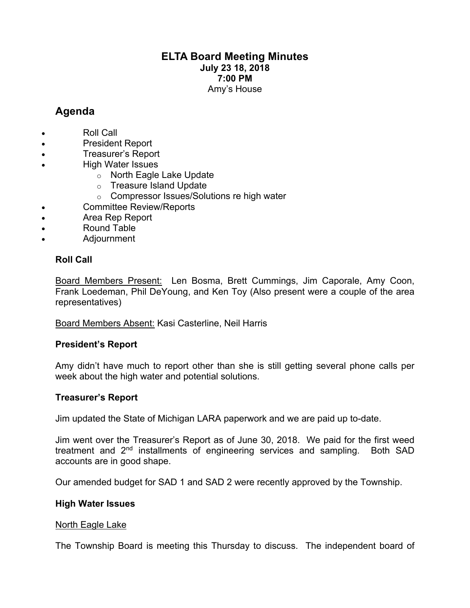# **ELTA Board Meeting Minutes July 23 18, 2018 7:00 PM** Amy's House

# **Agenda**

- Roll Call
- President Report
- Treasurer's Report
- High Water Issues
	- o North Eagle Lake Update
	- o Treasure Island Update
	- o Compressor Issues/Solutions re high water
- Committee Review/Reports
- Area Rep Report
- Round Table
- Adjournment

# **Roll Call**

Board Members Present: Len Bosma, Brett Cummings, Jim Caporale, Amy Coon, Frank Loedeman, Phil DeYoung, and Ken Toy (Also present were a couple of the area representatives)

# Board Members Absent: Kasi Casterline, Neil Harris

# **President's Report**

Amy didn't have much to report other than she is still getting several phone calls per week about the high water and potential solutions.

# **Treasurer's Report**

Jim updated the State of Michigan LARA paperwork and we are paid up to-date.

Jim went over the Treasurer's Report as of June 30, 2018. We paid for the first weed treatment and 2<sup>nd</sup> installments of engineering services and sampling. Both SAD accounts are in good shape.

Our amended budget for SAD 1 and SAD 2 were recently approved by the Township.

# **High Water Issues**

#### North Eagle Lake

The Township Board is meeting this Thursday to discuss. The independent board of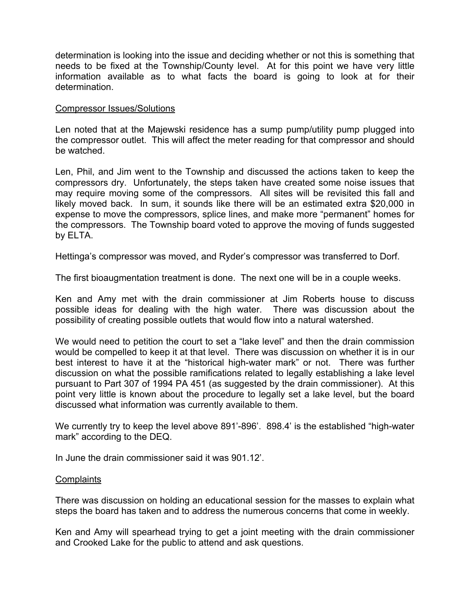determination is looking into the issue and deciding whether or not this is something that needs to be fixed at the Township/County level. At for this point we have very little information available as to what facts the board is going to look at for their determination.

#### Compressor Issues/Solutions

Len noted that at the Majewski residence has a sump pump/utility pump plugged into the compressor outlet. This will affect the meter reading for that compressor and should be watched.

Len, Phil, and Jim went to the Township and discussed the actions taken to keep the compressors dry. Unfortunately, the steps taken have created some noise issues that may require moving some of the compressors. All sites will be revisited this fall and likely moved back. In sum, it sounds like there will be an estimated extra \$20,000 in expense to move the compressors, splice lines, and make more "permanent" homes for the compressors. The Township board voted to approve the moving of funds suggested by ELTA.

Hettinga's compressor was moved, and Ryder's compressor was transferred to Dorf.

The first bioaugmentation treatment is done. The next one will be in a couple weeks.

Ken and Amy met with the drain commissioner at Jim Roberts house to discuss possible ideas for dealing with the high water. There was discussion about the possibility of creating possible outlets that would flow into a natural watershed.

We would need to petition the court to set a "lake level" and then the drain commission would be compelled to keep it at that level. There was discussion on whether it is in our best interest to have it at the "historical high-water mark" or not. There was further discussion on what the possible ramifications related to legally establishing a lake level pursuant to Part 307 of 1994 PA 451 (as suggested by the drain commissioner). At this point very little is known about the procedure to legally set a lake level, but the board discussed what information was currently available to them.

We currently try to keep the level above 891'-896'. 898.4' is the established "high-water mark" according to the DEQ.

In June the drain commissioner said it was 901.12'.

#### **Complaints**

There was discussion on holding an educational session for the masses to explain what steps the board has taken and to address the numerous concerns that come in weekly.

Ken and Amy will spearhead trying to get a joint meeting with the drain commissioner and Crooked Lake for the public to attend and ask questions.